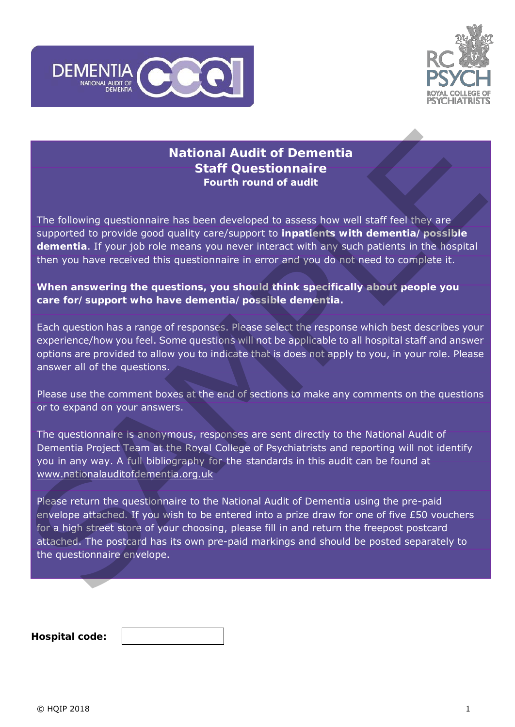



# **National Audit of Dementia Staff Questionnaire Fourth round of audit**

The following questionnaire has been developed to assess how well staff feel they are supported to provide good quality care/support to **inpatients with dementia/possible dementia**. If your job role means you never interact with any such patients in the hospital then you have received this questionnaire in error and you do not need to complete it.

# **When answering the questions, you should think specifically about people you care for/support who have dementia/possible dementia.**

Each question has a range of responses. Please select the response which best describes your experience/how you feel. Some questions will not be applicable to all hospital staff and answer options are provided to allow you to indicate that is does not apply to you, in your role. Please answer all of the questions.

Please use the comment boxes at the end of sections to make any comments on the questions or to expand on your answers.

The questionnaire is anonymous, responses are sent directly to the National Audit of Dementia Project Team at the Royal College of Psychiatrists and reporting will not identify you in any way. A full bibliography for the standards in this audit can be found at www.nationalauditofdementia.org.uk

Please return the questionnaire to the National Audit of Dementia using the pre-paid envelope attached. If you wish to be entered into a prize draw for one of five £50 vouchers for a high street store of your choosing, please fill in and return the freepost postcard attached. The postcard has its own pre-paid markings and should be posted separately to the questionnaire envelope. **Example 12 National Audit of Dementia**<br> **Staff Questionnaire**<br> **Staff Cuestionnaire**<br> **Staff Cuestionnaire**<br> **Staff Cuestionnaire**<br> **Staff Cuestionnaire**<br> **Staff Cuestionnaire**<br> **Staff Cuestionnaire**<br> **Staff Examplement** 

| Hospital code: |  |
|----------------|--|
|                |  |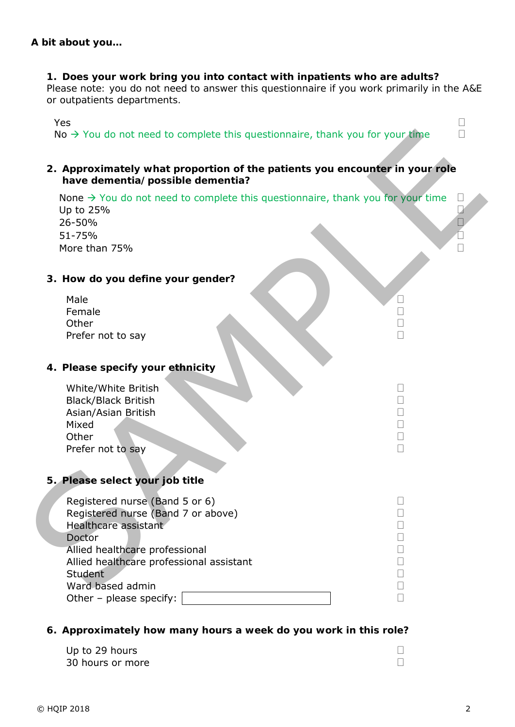### **1. Does your work bring you into contact with inpatients who are adults?**

*Please note: you do not need to answer this questionnaire if you work primarily in the A&E or outpatients departments.* 

 $Y$ es  $\Box$ No  $\rightarrow$  You do not need to complete this questionnaire, thank you for your time  $\Box$ 

### **2. Approximately what proportion of the patients you encounter in your role have dementia/possible dementia?**

### **3. How do you define your gender?**

# **4. Please specify your ethnicity**

| White/White British        |  |
|----------------------------|--|
| <b>Black/Black British</b> |  |
| Asian/Asian British        |  |
| Mixed                      |  |
| Other                      |  |
| Prefer not to say          |  |
|                            |  |

# **5. Please select your job title**

| $\text{No} \rightarrow \text{You}$ do not need to complete this questionnaire, thank you for your time                                                                                          |                                                                |  |
|-------------------------------------------------------------------------------------------------------------------------------------------------------------------------------------------------|----------------------------------------------------------------|--|
| 2. Approximately what proportion of the patients you encounter in your role<br>have dementia/possible dementia?                                                                                 |                                                                |  |
| None $\rightarrow$ You do not need to complete this questionnaire, thank you for your time<br>Up to 25%<br>26-50%<br>51-75%<br>More than 75%                                                    |                                                                |  |
| 3. How do you define your gender?                                                                                                                                                               |                                                                |  |
| Male<br>Female<br>Other<br>Prefer not to say                                                                                                                                                    | $\mathbf{I}$<br>$\Box$<br>$\Box$<br>$\Box$                     |  |
| 4. Please specify your ethnicity                                                                                                                                                                |                                                                |  |
| White/White British<br><b>Black/Black British</b><br>Asian/Asian British<br>Mixed<br>Other<br>Prefer not to say                                                                                 | $\Box$<br>$\Box$<br>$\mathbf{I}$<br>$\Box$<br>$\Box$<br>$\Box$ |  |
| 5. Please select your job title                                                                                                                                                                 |                                                                |  |
| Registered nurse (Band 5 or 6)<br>Registered nurse (Band 7 or above)<br>Healthcare assistant<br>Doctor<br>Allied healthcare professional<br>Allied healthcare professional assistant<br>Student | ⊔                                                              |  |
| Ward based admin<br>Other - please specify:                                                                                                                                                     |                                                                |  |

# **6. Approximately how many hours a week do you work in this role?**

Up to 29 hours 30 hours or more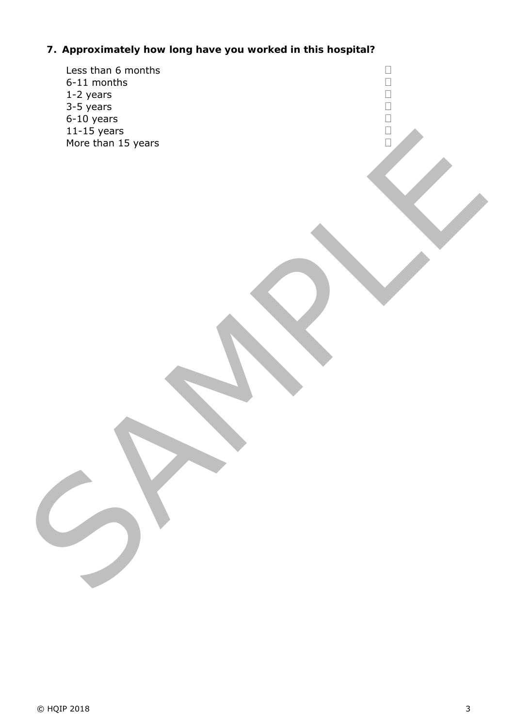# **7. Approximately how long have you worked in this hospital?**

| $\Box$<br>00000 |
|-----------------|
|                 |
|                 |
|                 |
|                 |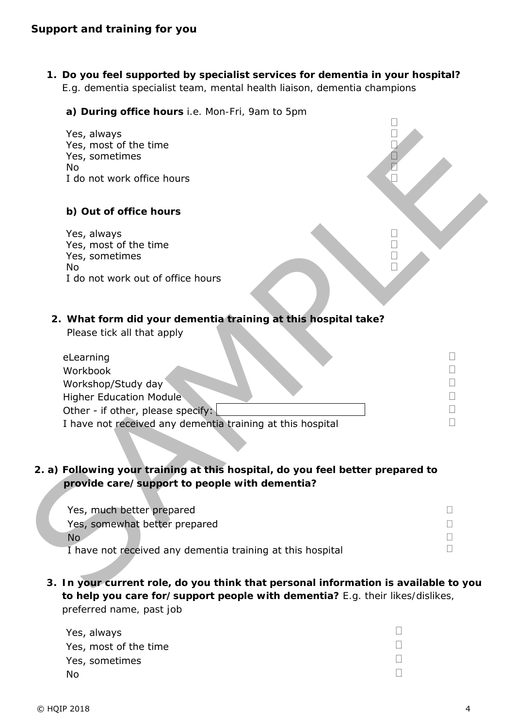**1. Do you feel supported by specialist services for dementia in your hospital?**  *E.g. dementia specialist team, mental health liaison, dementia champions*

 $\Box$ 

**a) During office hours** *i.e. Mon-Fri, 9am to 5pm*

| Yes, always<br>Yes, most of the time<br>Yes, sometimes                                                                                                                           |                                 |
|----------------------------------------------------------------------------------------------------------------------------------------------------------------------------------|---------------------------------|
| <b>No</b><br>I do not work office hours                                                                                                                                          |                                 |
| b) Out of office hours                                                                                                                                                           |                                 |
| Yes, always<br>Yes, most of the time<br>Yes, sometimes<br><b>No</b><br>I do not work out of office hours                                                                         |                                 |
| 2. What form did your dementia training at this hospital take?<br>Please tick all that apply                                                                                     |                                 |
| eLearning<br>Workbook<br>Workshop/Study day<br><b>Higher Education Module</b><br>Other - if other, please specify:<br>I have not received any dementia training at this hospital | $\Box$<br>$\Box$<br>$\Box$<br>П |
| 2. a) Following your training at this hospital, do you feel better prepared to<br>provide care/support to people with dementia?                                                  |                                 |
| Yes, much better prepared<br>Yes, somewhat better prepared<br>No.<br>I have not received any dementia training at this hospital                                                  | $\Box$<br>П                     |
| 3. In your current role, do you think that personal information is available to you                                                                                              |                                 |

| eLearning                                                  |  |
|------------------------------------------------------------|--|
| Workbook                                                   |  |
| Workshop/Study day                                         |  |
| <b>Higher Education Module</b>                             |  |
| Other - if other, please specify:                          |  |
| I have not received any dementia training at this hospital |  |

# **2. a) Following your training at this hospital, do you feel better prepared to provide care/support to people with dementia?**

**3. In your current role, do you think that personal information is available to you to help you care for/support people with dementia?** *E.g. their likes/dislikes, preferred name, past job*

| Yes, always           |  |
|-----------------------|--|
| Yes, most of the time |  |
| Yes, sometimes        |  |
| - No                  |  |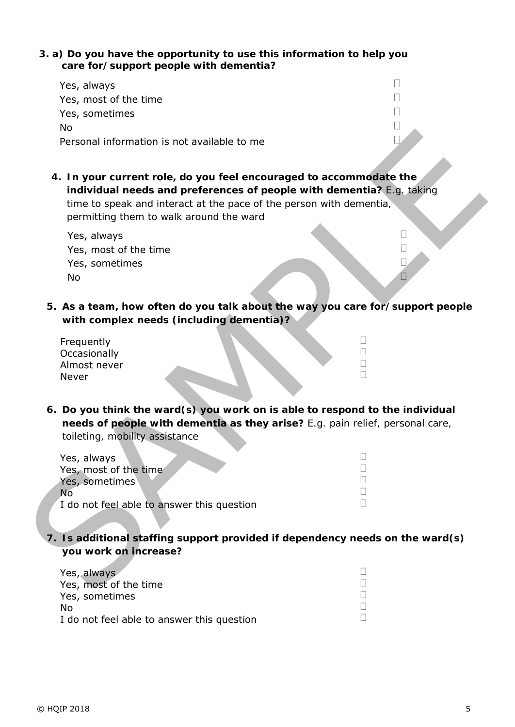### **3. a) Do you have the opportunity to use this information to help you care for/support people with dementia?**

| Yes, always                                 |  |
|---------------------------------------------|--|
| Yes, most of the time                       |  |
| Yes, sometimes                              |  |
| Nο                                          |  |
| Personal information is not available to me |  |

| Personal information is not available to me                                                                                                                                                                                                                   |                        |
|---------------------------------------------------------------------------------------------------------------------------------------------------------------------------------------------------------------------------------------------------------------|------------------------|
| 4. In your current role, do you feel encouraged to accommodate the<br>individual needs and preferences of people with dementia? E.g. taking<br>time to speak and interact at the pace of the person with dementia,<br>permitting them to walk around the ward |                        |
| Yes, always<br>Yes, most of the time<br>Yes, sometimes<br>No                                                                                                                                                                                                  | $\vert \ \ \vert$<br>П |
| 5. As a team, how often do you talk about the way you care for/support people<br>with complex needs (including dementia)?                                                                                                                                     |                        |
| Frequently<br>Occasionally<br>Almost never<br>Never                                                                                                                                                                                                           | $\Box$                 |
| 6. Do you think the ward(s) you work on is able to respond to the individual<br>needs of people with dementia as they arise? E.g. pain relief, personal care,<br>toileting, mobility assistance                                                               |                        |
| Yes, always<br>Yes, most of the time<br>Yes, sometimes<br><b>No</b><br>I do not feel able to answer this question                                                                                                                                             |                        |
| 7. Is additional staffing support provided if dependency needs on the ward(s)<br>you work on increase?                                                                                                                                                        |                        |
| Yes, always<br>Yes, most of the time                                                                                                                                                                                                                          | $\mathbf{L}$           |

| Yes, always                                |  |
|--------------------------------------------|--|
| Yes, most of the time                      |  |
| Yes, sometimes                             |  |
| No.                                        |  |
| I do not feel able to answer this question |  |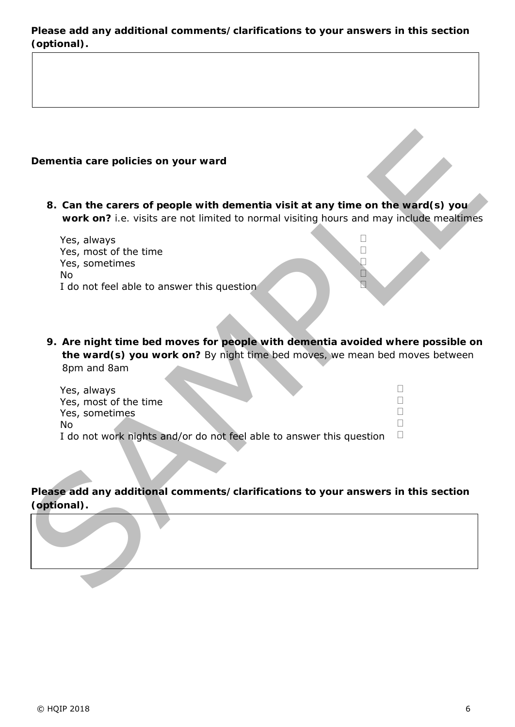# **Please add any additional comments/clarifications to your answers in this section (optional).**

# **Dementia care policies on your ward**

| Yes, always                                |  |
|--------------------------------------------|--|
| Yes, most of the time                      |  |
| Yes, sometimes                             |  |
| No.                                        |  |
| I do not feel able to answer this question |  |

| Dementia care policies on your ward                                                                                                                                          |   |
|------------------------------------------------------------------------------------------------------------------------------------------------------------------------------|---|
| 8. Can the carers of people with dementia visit at any time on the ward(s) you<br>work on? i.e. visits are not limited to normal visiting hours and may include mealtimes    |   |
| Yes, always<br>Yes, most of the time<br>Yes, sometimes<br><b>No</b><br>I do not feel able to answer this question                                                            |   |
| 9. Are night time bed moves for people with dementia avoided where possible on<br>the ward(s) you work on? By night time bed moves, we mean bed moves between<br>8pm and 8am |   |
| Yes, always<br>Yes, most of the time<br>Yes, sometimes<br><b>No</b><br>I do not work nights and/or do not feel able to answer this question                                  | П |
| Please add any additional comments/clarifications to your answers in this section<br>(optional).                                                                             |   |
|                                                                                                                                                                              |   |

# **Please add any additional comments/clarifications to your answers in this section (optional).**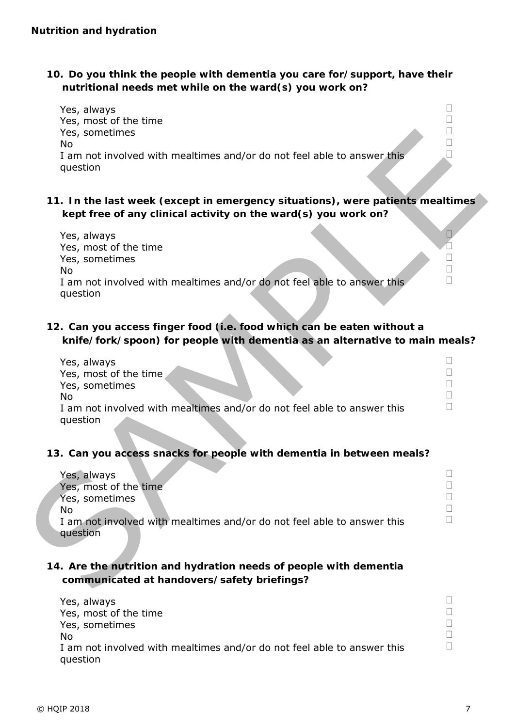**10. Do you think the people with dementia you care for/support, have their nutritional needs met while on the ward(s) you work on?** 



| Yes, sometimes<br>No<br>I am not involved with mealtimes and/or do not feel able to answer this<br>question                                                |  |
|------------------------------------------------------------------------------------------------------------------------------------------------------------|--|
| 11. In the last week (except in emergency situations), were patients mealtimes<br>kept free of any clinical activity on the ward(s) you work on?           |  |
| Yes, always<br>Yes, most of the time<br>Yes, sometimes<br><b>No</b><br>I am not involved with mealtimes and/or do not feel able to answer this<br>question |  |
| 12. Can you access finger food (i.e. food which can be eaten without a<br>knife/fork/spoon) for people with dementia as an alternative to main meals?      |  |
| Yes, always<br>Yes, most of the time<br>Yes, sometimes<br>No<br>I am not involved with mealtimes and/or do not feel able to answer this<br>question        |  |
| 13. Can you access snacks for people with dementia in between meals?                                                                                       |  |
| Yes, always<br>Yes, most of the time<br>Yes, sometimes<br>No<br>I am not involved with mealtimes and/or do not feel able to answer this<br>question        |  |
| 14. Are the nutrition and hydration needs of people with dementia<br>communicated at handovers/safety briefings?                                           |  |
|                                                                                                                                                            |  |

| Yes, always                                                             |  |
|-------------------------------------------------------------------------|--|
| Yes, most of the time                                                   |  |
| Yes, sometimes                                                          |  |
| No                                                                      |  |
| I am not involved with mealtimes and/or do not feel able to answer this |  |
| question                                                                |  |

### **13. Can you access snacks for people with dementia in between meals?**

| Yes, always                                                             |  |
|-------------------------------------------------------------------------|--|
| Yes, most of the time                                                   |  |
| Yes, sometimes                                                          |  |
| No                                                                      |  |
| I am not involved with mealtimes and/or do not feel able to answer this |  |
| question                                                                |  |

# **14. Are the nutrition and hydration needs of people with dementia communicated at handovers/safety briefings?**

| Yes, always                                                                         |  |
|-------------------------------------------------------------------------------------|--|
| Yes, most of the time                                                               |  |
| Yes, sometimes                                                                      |  |
| N٥                                                                                  |  |
| I am not involved with mealtimes and/or do not feel able to answer this<br>question |  |